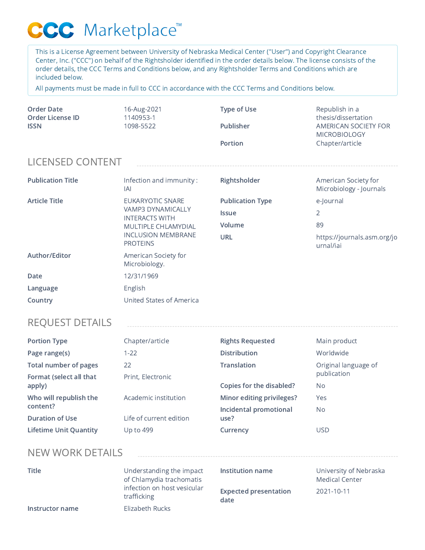# CCC Marketplace™

This is a License Agreement between University of Nebraska Medical Center ("User") and Copyright Clearance Center, Inc. ("CCC") on behalf of the Rightsholder identified in the order details below. The license consists of the order details, the CCC Terms and Conditions below, and any Rightsholder Terms and Conditions which are included below.

All payments must be made in full to CCC in accordance with the CCC Terms and Conditions below.

| <b>Order Date</b><br><b>Order License ID</b><br><b>ISSN</b> | 16-Aug-2021<br>1140953-1<br>1098-5522                                                                                                        | <b>Type of Use</b><br>Publisher | Republish in a<br>thesis/dissertation<br>AMERICAN SOCIETY FOR<br><b>MICROBIOLOGY</b><br>Chapter/article |  |  |
|-------------------------------------------------------------|----------------------------------------------------------------------------------------------------------------------------------------------|---------------------------------|---------------------------------------------------------------------------------------------------------|--|--|
|                                                             |                                                                                                                                              | Portion                         |                                                                                                         |  |  |
| <b>LICENSED CONTENT</b>                                     |                                                                                                                                              |                                 |                                                                                                         |  |  |
| <b>Publication Title</b>                                    | Infection and immunity:<br>IAI                                                                                                               | Rightsholder                    | American Society for<br>Microbiology - Journals                                                         |  |  |
| <b>Article Title</b>                                        | EUKARYOTIC SNARE<br><b>VAMP3 DYNAMICALLY</b><br><b>INTERACTS WITH</b><br>MULTIPLE CHLAMYDIAL<br><b>INCLUSION MEMBRANE</b><br><b>PROTEINS</b> | <b>Publication Type</b>         | e-Journal                                                                                               |  |  |
|                                                             |                                                                                                                                              | <b>Issue</b>                    | 2                                                                                                       |  |  |
|                                                             |                                                                                                                                              | Volume                          | 89                                                                                                      |  |  |
|                                                             |                                                                                                                                              | <b>URL</b>                      | https://journals.asm.org/jo<br>urnal/iai                                                                |  |  |
| Author/Editor                                               | American Society for<br>Microbiology.                                                                                                        |                                 |                                                                                                         |  |  |
| Date                                                        | 12/31/1969                                                                                                                                   |                                 |                                                                                                         |  |  |
| Language                                                    | English                                                                                                                                      |                                 |                                                                                                         |  |  |
| Country                                                     | United States of America                                                                                                                     |                                 |                                                                                                         |  |  |

#### REQUEST DETAILS

| <b>Portion Type</b>               | Chapter/article         | <b>Rights Requested</b>   | Main product         |
|-----------------------------------|-------------------------|---------------------------|----------------------|
| Page range(s)                     | $1 - 22$                | <b>Distribution</b>       | Worldwide            |
| <b>Total number of pages</b>      | 22                      | <b>Translation</b>        | Original language of |
| Format (select all that<br>apply) | Print, Electronic       |                           | publication          |
|                                   |                         | Copies for the disabled?  | N <sub>o</sub>       |
| Who will republish the            | Academic institution    | Minor editing privileges? | Yes                  |
| content?                          |                         | Incidental promotional    | No.                  |
| <b>Duration of Use</b>            | Life of current edition | use?                      |                      |
| <b>Lifetime Unit Quantity</b>     | Up to 499               | Currency                  | <b>USD</b>           |

#### NEW WORK DETAILS

| Title           | Understanding the impact<br>of Chlamydia trachomatis<br>infection on host vesicular<br>trafficking | Institution name<br><b>Expected presentation</b><br>date | University of Nebraska<br><b>Medical Center</b><br>2021-10-11 |
|-----------------|----------------------------------------------------------------------------------------------------|----------------------------------------------------------|---------------------------------------------------------------|
| Instructor name | Elizabeth Rucks                                                                                    |                                                          |                                                               |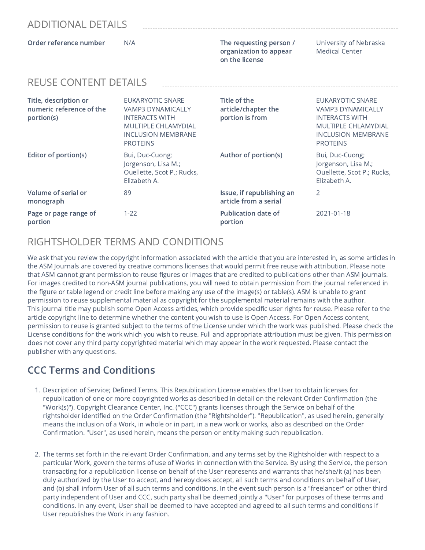#### ADDITIONAL DETAILS

| Order reference number                                          | N/A                                                                                                                                                 | The requesting person /<br>organization to appear<br>on the license | University of Nebraska<br><b>Medical Center</b>                                                                                              |  |
|-----------------------------------------------------------------|-----------------------------------------------------------------------------------------------------------------------------------------------------|---------------------------------------------------------------------|----------------------------------------------------------------------------------------------------------------------------------------------|--|
| <b>REUSE CONTENT DETAILS</b>                                    |                                                                                                                                                     |                                                                     |                                                                                                                                              |  |
| Title, description or<br>numeric reference of the<br>portion(s) | EUKARYOTIC SNARE<br><b>VAMP3 DYNAMICALLY</b><br><b>INTERACTS WITH</b><br><b>MULTIPLE CHLAMYDIAL</b><br><b>INCLUSION MEMBRANE</b><br><b>PROTEINS</b> | Title of the<br>article/chapter the<br>portion is from              | EUKARYOTIC SNARE<br><b>VAMP3 DYNAMICALLY</b><br><b>INTERACTS WITH</b><br>MULTIPLE CHLAMYDIAL<br><b>INCLUSION MEMBRANE</b><br><b>PROTEINS</b> |  |
| Editor of portion(s)                                            | Bui, Duc-Cuong;<br>Jorgenson, Lisa M.;<br>Ouellette, Scot P.; Rucks,<br>Elizabeth A.                                                                | Author of portion(s)                                                | Bui, Duc-Cuong;<br>Jorgenson, Lisa M.;<br>Ouellette, Scot P.; Rucks,<br>Elizabeth A.                                                         |  |
| Volume of serial or<br>monograph                                | 89                                                                                                                                                  | Issue, if republishing an<br>article from a serial                  | 2                                                                                                                                            |  |
| Page or page range of<br>portion                                | $1 - 22$                                                                                                                                            | Publication date of<br>portion                                      | 2021-01-18                                                                                                                                   |  |

### RIGHTSHOLDER TERMS AND CONDITIONS

We ask that you review the copyright information associated with the article that you are interested in, as some articles in the ASM Journals are covered by creative commons licenses that would permit free reuse with attribution. Please note that ASM cannot grant permission to reuse figures or images that are credited to publications other than ASM journals. For images credited to non-ASM journal publications, you will need to obtain permission from the journal referenced in the figure or table legend or credit line before making any use of the image(s) or table(s). ASM is unable to grant permission to reuse supplemental material as copyright for the supplemental material remains with the author. This journal title may publish some Open Access articles, which provide specific user rights for reuse. Please refer to the article copyright line to determine whether the content you wish to use is Open Access. For Open Access content, permission to reuse is granted subject to the terms of the License under which the work was published. Please check the License conditions for the work which you wish to reuse. Full and appropriate attribution must be given. This permission does not cover any third party copyrighted material which may appear in the work requested. Please contact the publisher with any questions.

## CCC Terms and Conditions

- 1. Description of Service; Defined Terms. This Republication License enables the User to obtain licenses for republication of one or more copyrighted works as described in detail on the relevant Order Confirmation (the "Work(s)"). Copyright Clearance Center, Inc. ("CCC") grants licenses through the Service on behalf of the rightsholder identified on the Order Confirmation (the "Rightsholder"). "Republication", as used herein, generally means the inclusion of a Work, in whole or in part, in a new work or works, also as described on the Order Confirmation. "User", as used herein, means the person or entity making such republication.
- 2. The terms set forth in the relevant Order Confirmation, and any terms set by the Rightsholder with respect to a particular Work, govern the terms of use of Works in connection with the Service. By using the Service, the person transacting for a republication license on behalf of the User represents and warrants that he/she/it (a) has been duly authorized by the User to accept, and hereby does accept, all such terms and conditions on behalf of User, and (b) shall inform User of all such terms and conditions. In the event such person is a "freelancer" or other third party independent of User and CCC, such party shall be deemed jointly a "User" for purposes of these terms and conditions. In any event, User shall be deemed to have accepted and agreed to all such terms and conditions if User republishes the Work in any fashion.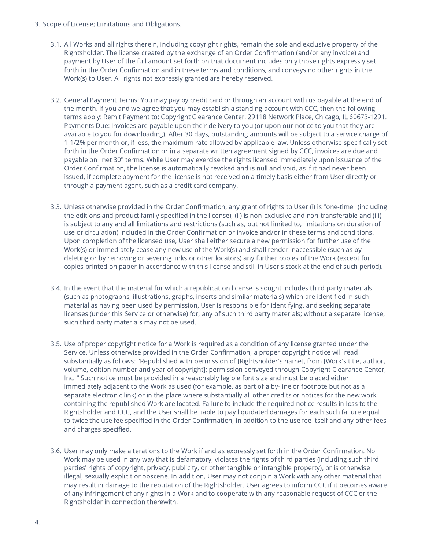- 3. Scope of License; Limitations and Obligations.
	- 3.1. All Works and all rights therein, including copyright rights, remain the sole and exclusive property of the Rightsholder. The license created by the exchange of an Order Confirmation (and/or any invoice) and payment by User of the full amount set forth on that document includes only those rights expressly set forth in the Order Confirmation and in these terms and conditions, and conveys no other rights in the Work(s) to User. All rights not expressly granted are hereby reserved.
	- 3.2. General Payment Terms: You may pay by credit card or through an account with us payable at the end of the month. If you and we agree that you may establish a standing account with CCC, then the following terms apply: Remit Payment to: Copyright Clearance Center, 29118 Network Place, Chicago, IL 60673-1291. Payments Due: Invoices are payable upon their delivery to you (or upon our notice to you that they are available to you for downloading). After 30 days, outstanding amounts will be subject to a service charge of 1-1/2% per month or, if less, the maximum rate allowed by applicable law. Unless otherwise specifically set forth in the Order Confirmation or in a separate written agreement signed by CCC, invoices are due and payable on "net 30" terms. While User may exercise the rights licensed immediately upon issuance of the Order Confirmation, the license is automatically revoked and is null and void, as if it had never been issued, if complete payment for the license is not received on a timely basis either from User directly or through a payment agent, such as a credit card company.
	- 3.3. Unless otherwise provided in the Order Confirmation, any grant of rights to User (i) is "one-time" (including the editions and product family specified in the license), (ii) is non-exclusive and non-transferable and (iii) is subject to any and all limitations and restrictions (such as, but not limited to, limitations on duration of use or circulation) included in the Order Confirmation or invoice and/or in these terms and conditions. Upon completion of the licensed use, User shall either secure a new permission for further use of the Work(s) or immediately cease any new use of the Work(s) and shall render inaccessible (such as by deleting or by removing or severing links or other locators) any further copies of the Work (except for copies printed on paper in accordance with this license and still in User's stock at the end of such period).
	- 3.4. In the event that the material for which a republication license is sought includes third party materials (such as photographs, illustrations, graphs, inserts and similar materials) which are identified in such material as having been used by permission, User is responsible for identifying, and seeking separate licenses (under this Service or otherwise) for, any of such third party materials; without a separate license, such third party materials may not be used.
	- 3.5. Use of proper copyright notice for a Work is required as a condition of any license granted under the Service. Unless otherwise provided in the Order Confirmation, a proper copyright notice will read substantially as follows: "Republished with permission of [Rightsholder's name], from [Work's title, author, volume, edition number and year of copyright]; permission conveyed through Copyright Clearance Center, Inc. " Such notice must be provided in a reasonably legible font size and must be placed either immediately adjacent to the Work as used (for example, as part of a by-line or footnote but not as a separate electronic link) or in the place where substantially all other credits or notices for the new work containing the republished Work are located. Failure to include the required notice results in loss to the Rightsholder and CCC, and the User shall be liable to pay liquidated damages for each such failure equal to twice the use fee specified in the Order Confirmation, in addition to the use fee itself and any other fees and charges specified.
	- 3.6. User may only make alterations to the Work if and as expressly set forth in the Order Confirmation. No Work may be used in any way that is defamatory, violates the rights of third parties (including such third parties' rights of copyright, privacy, publicity, or other tangible or intangible property), or is otherwise illegal, sexually explicit or obscene. In addition, User may not conjoin a Work with any other material that may result in damage to the reputation of the Rightsholder. User agrees to inform CCC if it becomes aware of any infringement of any rights in a Work and to cooperate with any reasonable request of CCC or the Rightsholder in connection therewith.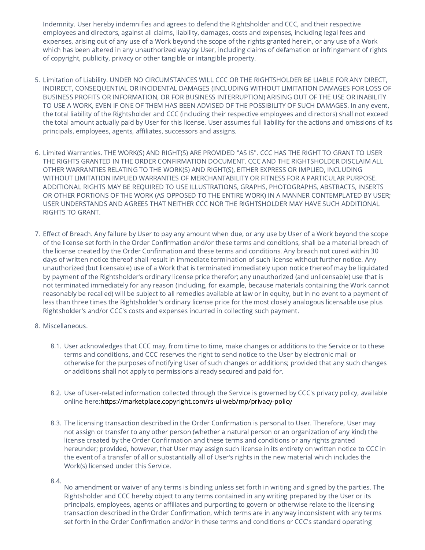Indemnity. User hereby indemnifies and agrees to defend the Rightsholder and CCC, and their respective employees and directors, against all claims, liability, damages, costs and expenses, including legal fees and expenses, arising out of any use of a Work beyond the scope of the rights granted herein, or any use of a Work which has been altered in any unauthorized way by User, including claims of defamation or infringement of rights of copyright, publicity, privacy or other tangible or intangible property.

- 5. Limitation of Liability. UNDER NO CIRCUMSTANCES WILL CCC OR THE RIGHTSHOLDER BE LIABLE FOR ANY DIRECT, INDIRECT, CONSEQUENTIAL OR INCIDENTAL DAMAGES (INCLUDING WITHOUT LIMITATION DAMAGES FOR LOSS OF BUSINESS PROFITS OR INFORMATION, OR FOR BUSINESS INTERRUPTION) ARISING OUT OF THE USE OR INABILITY TO USE A WORK, EVEN IF ONE OF THEM HAS BEEN ADVISED OF THE POSSIBILITY OF SUCH DAMAGES. In any event, the total liability of the Rightsholder and CCC (including their respective employees and directors) shall not exceed the total amount actually paid by User for this license. User assumes full liability for the actions and omissions of its principals, employees, agents, affiliates, successors and assigns.
- 6. Limited Warranties. THE WORK(S) AND RIGHT(S) ARE PROVIDED "AS IS". CCC HAS THE RIGHT TO GRANT TO USER THE RIGHTS GRANTED IN THE ORDER CONFIRMATION DOCUMENT. CCC AND THE RIGHTSHOLDER DISCLAIM ALL OTHER WARRANTIES RELATING TO THE WORK(S) AND RIGHT(S), EITHER EXPRESS OR IMPLIED, INCLUDING WITHOUT LIMITATION IMPLIED WARRANTIES OF MERCHANTABILITY OR FITNESS FOR A PARTICULAR PURPOSE. ADDITIONAL RIGHTS MAY BE REQUIRED TO USE ILLUSTRATIONS, GRAPHS, PHOTOGRAPHS, ABSTRACTS, INSERTS OR OTHER PORTIONS OF THE WORK (AS OPPOSED TO THE ENTIRE WORK) IN A MANNER CONTEMPLATED BY USER; USER UNDERSTANDS AND AGREES THAT NEITHER CCC NOR THE RIGHTSHOLDER MAY HAVE SUCH ADDITIONAL RIGHTS TO GRANT.
- 7. Effect of Breach. Any failure by User to pay any amount when due, or any use by User of a Work beyond the scope of the license set forth in the Order Confirmation and/or these terms and conditions, shall be a material breach of the license created by the Order Confirmation and these terms and conditions. Any breach not cured within 30 days of written notice thereof shall result in immediate termination of such license without further notice. Any unauthorized (but licensable) use of a Work that is terminated immediately upon notice thereof may be liquidated by payment of the Rightsholder's ordinary license price therefor; any unauthorized (and unlicensable) use that is not terminated immediately for any reason (including, for example, because materials containing the Work cannot reasonably be recalled) will be subject to all remedies available at law or in equity, but in no event to a payment of less than three times the Rightsholder's ordinary license price for the most closely analogous licensable use plus Rightsholder's and/or CCC's costs and expenses incurred in collecting such payment.
- 8. Miscellaneous.
	- 8.1. User acknowledges that CCC may, from time to time, make changes or additions to the Service or to these terms and conditions, and CCC reserves the right to send notice to the User by electronic mail or otherwise for the purposes of notifying User of such changes or additions; provided that any such changes or additions shall not apply to permissions already secured and paid for.
	- 8.2. Use of User-related information collected through the Service is governed by CCC's privacy policy, available online here:<https://marketplace.copyright.com/rs-ui-web/mp/privacy-policy>
	- 8.3. The licensing transaction described in the Order Confirmation is personal to User. Therefore, User may not assign or transfer to any other person (whether a natural person or an organization of any kind) the license created by the Order Confirmation and these terms and conditions or any rights granted hereunder; provided, however, that User may assign such license in its entirety on written notice to CCC in the event of a transfer of all or substantially all of User's rights in the new material which includes the Work(s) licensed under this Service.
	- 8.4.

No amendment or waiver of any terms is binding unless set forth in writing and signed by the parties. The Rightsholder and CCC hereby object to any terms contained in any writing prepared by the User or its principals, employees, agents or affiliates and purporting to govern or otherwise relate to the licensing transaction described in the Order Confirmation, which terms are in any way inconsistent with any terms set forth in the Order Confirmation and/or in these terms and conditions or CCC's standard operating